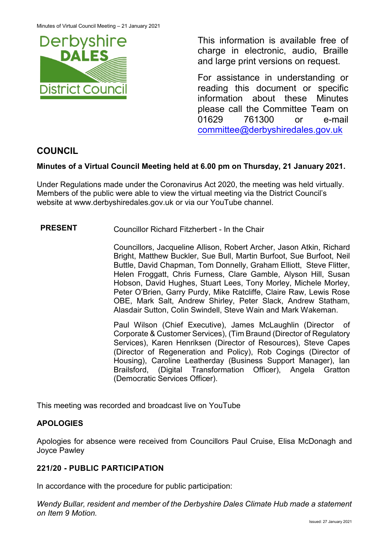

This information is available free of charge in electronic, audio, Braille and large print versions on request.

For assistance in understanding or reading this document or specific information about these Minutes please call the Committee Team on 01629 761300 or e-mail [committee@derbyshiredales.gov.uk](mailto:brian.evans@derbyshiredales.gov.uk) 

# **COUNCIL**

# **Minutes of a Virtual Council Meeting held at 6.00 pm on Thursday, 21 January 2021.**

Under Regulations made under the Coronavirus Act 2020, the meeting was held virtually. Members of the public were able to view the virtual meeting via the District Council's website at [www.derbyshiredales.gov.uk](http://www.derbyshiredales.gov.uk/) or via our YouTube channel.

**PRESENT** Councillor Richard Fitzherbert - In the Chair

Councillors, Jacqueline Allison, Robert Archer, Jason Atkin, Richard Bright, Matthew Buckler, Sue Bull, Martin Burfoot, Sue Burfoot, Neil Buttle, David Chapman, Tom Donnelly, Graham Elliott, Steve Flitter, Helen Froggatt, Chris Furness, Clare Gamble, Alyson Hill, Susan Hobson, David Hughes, Stuart Lees, Tony Morley, Michele Morley, Peter O'Brien, Garry Purdy, Mike Ratcliffe, Claire Raw, Lewis Rose OBE, Mark Salt, Andrew Shirley, Peter Slack, Andrew Statham, Alasdair Sutton, Colin Swindell, Steve Wain and Mark Wakeman.

Paul Wilson (Chief Executive), James McLaughlin (Director of Corporate & Customer Services), (Tim Braund (Director of Regulatory Services), Karen Henriksen (Director of Resources), Steve Capes (Director of Regeneration and Policy), Rob Cogings (Director of Housing), Caroline Leatherday (Business Support Manager), Ian Brailsford, (Digital Transformation Officer), Angela Gratton (Democratic Services Officer).

This meeting was recorded and broadcast live on YouTube

### **APOLOGIES**

Apologies for absence were received from Councillors Paul Cruise, Elisa McDonagh and Joyce Pawley

### **221/20 - PUBLIC PARTICIPATION**

In accordance with the procedure for public participation:

*Wendy Bullar, resident and member of the Derbyshire Dales Climate Hub made a statement on Item 9 Motion.*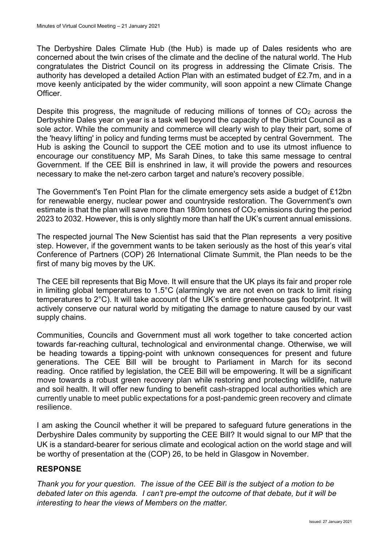The Derbyshire Dales Climate Hub (the Hub) is made up of Dales residents who are concerned about the twin crises of the climate and the decline of the natural world. The Hub congratulates the District Council on its progress in addressing the Climate Crisis. The authority has developed a detailed Action Plan with an estimated budget of £2.7m, and in a move keenly anticipated by the wider community, will soon appoint a new Climate Change Officer.

Despite this progress, the magnitude of reducing millions of tonnes of  $CO<sub>2</sub>$  across the Derbyshire Dales year on year is a task well beyond the capacity of the District Council as a sole actor. While the community and commerce will clearly wish to play their part, some of the 'heavy lifting' in policy and funding terms must be accepted by central Government. The Hub is asking the Council to support the CEE motion and to use its utmost influence to encourage our constituency MP, Ms Sarah Dines, to take this same message to central Government. If the CEE Bill is enshrined in law, it will provide the powers and resources necessary to make the net-zero carbon target and nature's recovery possible.

The Government's Ten Point Plan for the climate emergency sets aside a budget of £12bn for renewable energy, nuclear power and countryside restoration. The Government's own estimate is that the plan will save more than 180m tonnes of  $CO<sub>2</sub>$  emissions during the period 2023 to 2032. However, this is only slightly more than half the UK's current annual emissions.

The respected journal The New Scientist has said that the Plan represents a very positive step. However, if the government wants to be taken seriously as the host of this year's vital Conference of Partners (COP) 26 International Climate Summit, the Plan needs to be the first of many big moves by the UK.

The CEE bill represents that Big Move. It will ensure that the UK plays its fair and proper role in limiting global temperatures to 1.5°C (alarmingly we are not even on track to limit rising temperatures to 2°C). It will take account of the UK's entire greenhouse gas footprint. It will actively conserve our natural world by mitigating the damage to nature caused by our vast supply chains.

Communities, Councils and Government must all work together to take concerted action towards far-reaching cultural, technological and environmental change. Otherwise, we will be heading towards a tipping-point with unknown consequences for present and future generations. The CEE Bill will be brought to Parliament in March for its second reading. Once ratified by legislation, the CEE Bill will be empowering. It will be a significant move towards a robust green recovery plan while restoring and protecting wildlife, nature and soil health. It will offer new funding to benefit cash-strapped local authorities which are currently unable to meet public expectations for a post-pandemic green recovery and climate resilience.

I am asking the Council whether it will be prepared to safeguard future generations in the Derbyshire Dales community by supporting the CEE Bill? It would signal to our MP that the UK is a standard-bearer for serious climate and ecological action on the world stage and will be worthy of presentation at the (COP) 26, to be held in Glasgow in November.

### **RESPONSE**

*Thank you for your question. The issue of the CEE Bill is the subject of a motion to be debated later on this agenda. I can't pre-empt the outcome of that debate, but it will be interesting to hear the views of Members on the matter.*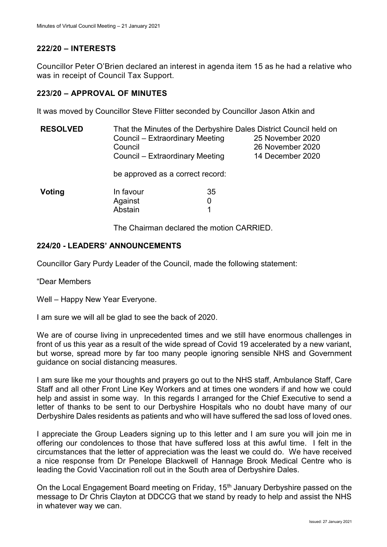# **222/20 – INTERESTS**

Councillor Peter O'Brien declared an interest in agenda item 15 as he had a relative who was in receipt of Council Tax Support.

#### **223/20 – APPROVAL OF MINUTES**

It was moved by Councillor Steve Flitter seconded by Councillor Jason Atkin and

| <b>RESOLVED</b> | That the Minutes of the Derbyshire Dales District Council held on |                                      |  |  |  |  |
|-----------------|-------------------------------------------------------------------|--------------------------------------|--|--|--|--|
|                 | Council – Extraordinary Meeting                                   | 25 November 2020<br>26 November 2020 |  |  |  |  |
|                 | Council                                                           |                                      |  |  |  |  |
|                 | Council – Extraordinary Meeting                                   | 14 December 2020                     |  |  |  |  |
|                 | be approved as a correct record:                                  |                                      |  |  |  |  |
| Voting          | In favour                                                         | 35                                   |  |  |  |  |
|                 | Against                                                           | 0                                    |  |  |  |  |
|                 | Abstain                                                           | 1                                    |  |  |  |  |
|                 |                                                                   |                                      |  |  |  |  |

The Chairman declared the motion CARRIED.

### **224/20 - LEADERS' ANNOUNCEMENTS**

Councillor Gary Purdy Leader of the Council, made the following statement:

"Dear Members

Well – Happy New Year Everyone.

I am sure we will all be glad to see the back of 2020.

We are of course living in unprecedented times and we still have enormous challenges in front of us this year as a result of the wide spread of Covid 19 accelerated by a new variant, but worse, spread more by far too many people ignoring sensible NHS and Government guidance on social distancing measures.

I am sure like me your thoughts and prayers go out to the NHS staff, Ambulance Staff, Care Staff and all other Front Line Key Workers and at times one wonders if and how we could help and assist in some way. In this regards I arranged for the Chief Executive to send a letter of thanks to be sent to our Derbyshire Hospitals who no doubt have many of our Derbyshire Dales residents as patients and who will have suffered the sad loss of loved ones.

I appreciate the Group Leaders signing up to this letter and I am sure you will join me in offering our condolences to those that have suffered loss at this awful time. I felt in the circumstances that the letter of appreciation was the least we could do. We have received a nice response from Dr Penelope Blackwell of Hannage Brook Medical Centre who is leading the Covid Vaccination roll out in the South area of Derbyshire Dales.

On the Local Engagement Board meeting on Friday, 15<sup>th</sup> January Derbyshire passed on the message to Dr Chris Clayton at DDCCG that we stand by ready to help and assist the NHS in whatever way we can.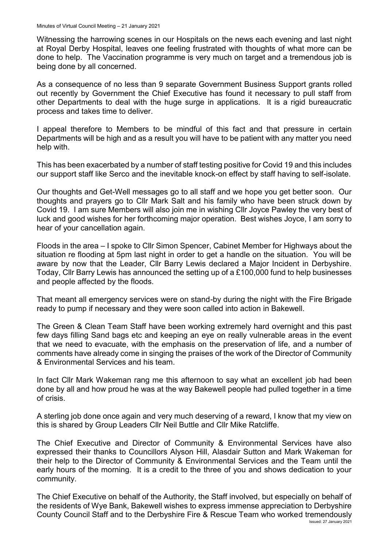Witnessing the harrowing scenes in our Hospitals on the news each evening and last night at Royal Derby Hospital, leaves one feeling frustrated with thoughts of what more can be done to help. The Vaccination programme is very much on target and a tremendous job is being done by all concerned.

As a consequence of no less than 9 separate Government Business Support grants rolled out recently by Government the Chief Executive has found it necessary to pull staff from other Departments to deal with the huge surge in applications. It is a rigid bureaucratic process and takes time to deliver.

I appeal therefore to Members to be mindful of this fact and that pressure in certain Departments will be high and as a result you will have to be patient with any matter you need help with.

This has been exacerbated by a number of staff testing positive for Covid 19 and this includes our support staff like Serco and the inevitable knock-on effect by staff having to self-isolate.

Our thoughts and Get-Well messages go to all staff and we hope you get better soon. Our thoughts and prayers go to Cllr Mark Salt and his family who have been struck down by Covid 19. I am sure Members will also join me in wishing Cllr Joyce Pawley the very best of luck and good wishes for her forthcoming major operation. Best wishes Joyce, I am sorry to hear of your cancellation again.

Floods in the area – I spoke to Cllr Simon Spencer, Cabinet Member for Highways about the situation re flooding at 5pm last night in order to get a handle on the situation. You will be aware by now that the Leader, Cllr Barry Lewis declared a Major Incident in Derbyshire. Today, Cllr Barry Lewis has announced the setting up of a £100,000 fund to help businesses and people affected by the floods.

That meant all emergency services were on stand-by during the night with the Fire Brigade ready to pump if necessary and they were soon called into action in Bakewell.

The Green & Clean Team Staff have been working extremely hard overnight and this past few days filling Sand bags etc and keeping an eye on really vulnerable areas in the event that we need to evacuate, with the emphasis on the preservation of life, and a number of comments have already come in singing the praises of the work of the Director of Community & Environmental Services and his team.

In fact Cllr Mark Wakeman rang me this afternoon to say what an excellent job had been done by all and how proud he was at the way Bakewell people had pulled together in a time of crisis.

A sterling job done once again and very much deserving of a reward, I know that my view on this is shared by Group Leaders Cllr Neil Buttle and Cllr Mike Ratcliffe.

The Chief Executive and Director of Community & Environmental Services have also expressed their thanks to Councillors Alyson Hill, Alasdair Sutton and Mark Wakeman for their help to the Director of Community & Environmental Services and the Team until the early hours of the morning. It is a credit to the three of you and shows dedication to your community.

Issued: 27 January 2021 The Chief Executive on behalf of the Authority, the Staff involved, but especially on behalf of the residents of Wye Bank, Bakewell wishes to express immense appreciation to Derbyshire County Council Staff and to the Derbyshire Fire & Rescue Team who worked tremendously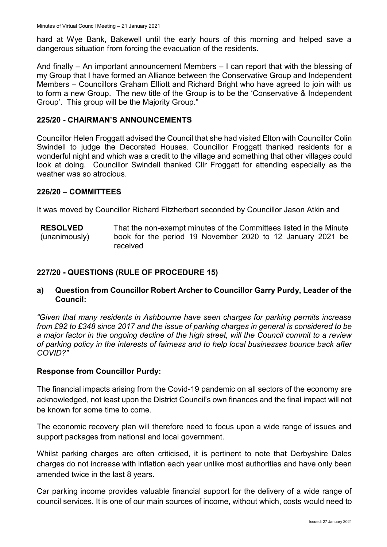hard at Wye Bank, Bakewell until the early hours of this morning and helped save a dangerous situation from forcing the evacuation of the residents.

And finally – An important announcement Members – I can report that with the blessing of my Group that I have formed an Alliance between the Conservative Group and Independent Members – Councillors Graham Elliott and Richard Bright who have agreed to join with us to form a new Group. The new title of the Group is to be the 'Conservative & Independent Group'. This group will be the Majority Group."

#### **225/20 - CHAIRMAN'S ANNOUNCEMENTS**

Councillor Helen Froggatt advised the Council that she had visited Elton with Councillor Colin Swindell to judge the Decorated Houses. Councillor Froggatt thanked residents for a wonderful night and which was a credit to the village and something that other villages could look at doing. Councillor Swindell thanked Cllr Froggatt for attending especially as the weather was so atrocious.

#### **226/20 – COMMITTEES**

It was moved by Councillor Richard Fitzherbert seconded by Councillor Jason Atkin and

**RESOLVED** (unanimously) That the non-exempt minutes of the Committees listed in the Minute book for the period 19 November 2020 to 12 January 2021 be received

#### **227/20 - QUESTIONS (RULE OF PROCEDURE 15)**

#### **a) Question from Councillor Robert Archer to Councillor Garry Purdy, Leader of the Council:**

*"Given that many residents in Ashbourne have seen charges for parking permits increase from £92 to £348 since 2017 and the issue of parking charges in general is considered to be a major factor in the ongoing decline of the high street, will the Council commit to a review of parking policy in the interests of fairness and to help local businesses bounce back after COVID?"*

#### **Response from Councillor Purdy:**

The financial impacts arising from the Covid-19 pandemic on all sectors of the economy are acknowledged, not least upon the District Council's own finances and the final impact will not be known for some time to come.

The economic recovery plan will therefore need to focus upon a wide range of issues and support packages from national and local government.

Whilst parking charges are often criticised, it is pertinent to note that Derbyshire Dales charges do not increase with inflation each year unlike most authorities and have only been amended twice in the last 8 years.

Car parking income provides valuable financial support for the delivery of a wide range of council services. It is one of our main sources of income, without which, costs would need to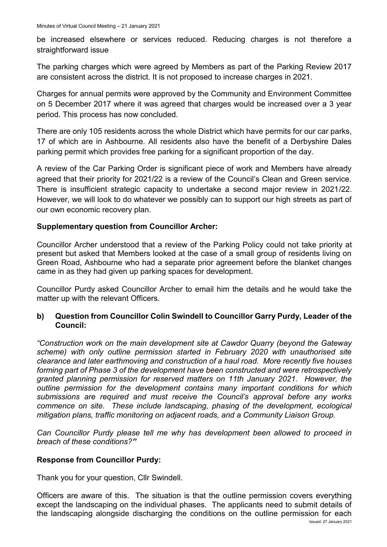be increased elsewhere or services reduced. Reducing charges is not therefore a straightforward issue

The parking charges which were agreed by Members as part of the Parking Review 2017 are consistent across the district. It is not proposed to increase charges in 2021.

Charges for annual permits were approved by the Community and Environment Committee on 5 December 2017 where it was agreed that charges would be increased over a 3 year period. This process has now concluded.

There are only 105 residents across the whole District which have permits for our car parks, 17 of which are in Ashbourne. All residents also have the benefit of a Derbyshire Dales parking permit which provides free parking for a significant proportion of the day.

A review of the Car Parking Order is significant piece of work and Members have already agreed that their priority for 2021/22 is a review of the Council's Clean and Green service. There is insufficient strategic capacity to undertake a second major review in 2021/22. However, we will look to do whatever we possibly can to support our high streets as part of our own economic recovery plan.

# **Supplementary question from Councillor Archer:**

Councillor Archer understood that a review of the Parking Policy could not take priority at present but asked that Members looked at the case of a small group of residents living on Green Road, Ashbourne who had a separate prior agreement before the blanket changes came in as they had given up parking spaces for development.

Councillor Purdy asked Councillor Archer to email him the details and he would take the matter up with the relevant Officers.

### **b) Question from Councillor Colin Swindell to Councillor Garry Purdy, Leader of the Council:**

*"Construction work on the main development site at Cawdor Quarry (beyond the Gateway scheme) with only outline permission started in February 2020 with unauthorised site clearance and later earthmoving and construction of a haul road. More recently five houses forming part of Phase 3 of the development have been constructed and were retrospectively granted planning permission for reserved matters on 11th January 2021. However, the outline permission for the development contains many important conditions for which submissions are required and must receive the Council's approval before any works commence on site. These include landscaping, phasing of the development, ecological mitigation plans, traffic monitoring on adjacent roads, and a Community Liaison Group.* 

*Can Councillor Purdy please tell me why has development been allowed to proceed in breach of these conditions?"*

### **Response from Councillor Purdy:**

Thank you for your question, Cllr Swindell.

Officers are aware of this. The situation is that the outline permission covers everything except the landscaping on the individual phases. The applicants need to submit details of the landscaping alongside discharging the conditions on the outline permission for each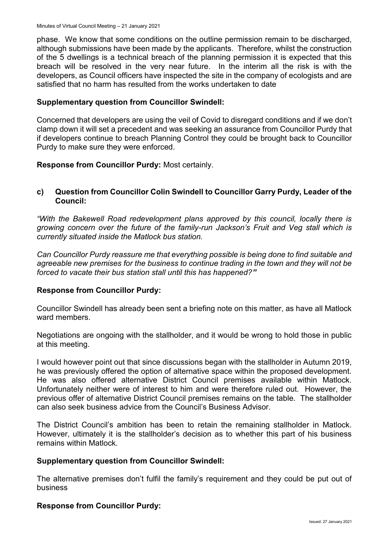phase. We know that some conditions on the outline permission remain to be discharged, although submissions have been made by the applicants. Therefore, whilst the construction of the 5 dwellings is a technical breach of the planning permission it is expected that this breach will be resolved in the very near future. In the interim all the risk is with the developers, as Council officers have inspected the site in the company of ecologists and are satisfied that no harm has resulted from the works undertaken to date

#### **Supplementary question from Councillor Swindell:**

Concerned that developers are using the veil of Covid to disregard conditions and if we don't clamp down it will set a precedent and was seeking an assurance from Councillor Purdy that if developers continue to breach Planning Control they could be brought back to Councillor Purdy to make sure they were enforced.

**Response from Councillor Purdy:** Most certainly.

#### **c) Question from Councillor Colin Swindell to Councillor Garry Purdy, Leader of the Council:**

*"With the Bakewell Road redevelopment plans approved by this council, locally there is growing concern over the future of the family-run Jackson's Fruit and Veg stall which is currently situated inside the Matlock bus station.* 

*Can Councillor Purdy reassure me that everything possible is being done to find suitable and agreeable new premises for the business to continue trading in the town and they will not be forced to vacate their bus station stall until this has happened?"*

### **Response from Councillor Purdy:**

Councillor Swindell has already been sent a briefing note on this matter, as have all Matlock ward members.

Negotiations are ongoing with the stallholder, and it would be wrong to hold those in public at this meeting.

I would however point out that since discussions began with the stallholder in Autumn 2019, he was previously offered the option of alternative space within the proposed development. He was also offered alternative District Council premises available within Matlock. Unfortunately neither were of interest to him and were therefore ruled out. However, the previous offer of alternative District Council premises remains on the table. The stallholder can also seek business advice from the Council's Business Advisor.

The District Council's ambition has been to retain the remaining stallholder in Matlock. However, ultimately it is the stallholder's decision as to whether this part of his business remains within Matlock.

#### **Supplementary question from Councillor Swindell:**

The alternative premises don't fulfil the family's requirement and they could be put out of business

#### **Response from Councillor Purdy:**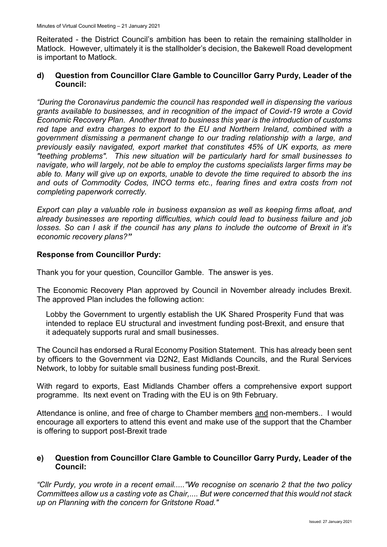Reiterated - the District Council's ambition has been to retain the remaining stallholder in Matlock. However, ultimately it is the stallholder's decision, the Bakewell Road development is important to Matlock.

### **d) Question from Councillor Clare Gamble to Councillor Garry Purdy, Leader of the Council:**

"During the Coronavirus pandemic the council has responded well in dispensing the various *grants available to businesses, and in recognition of the impact of Covid-19 wrote a Covid Economic Recovery Plan. Another threat to business this year is the introduction of customs*  red tape and extra charges to export to the EU and Northern Ireland, combined with a *government dismissing a permanent change to our trading relationship with a large, and previously easily navigated, export market that constitutes 45% of UK exports, as mere "teething problems". This new situation will be particularly hard for small businesses to navigate, who will largely, not be able to employ the customs specialists larger firms may be able to. Many will give up on exports, unable to devote the time required to absorb the ins and outs of Commodity Codes, INCO terms etc., fearing fines and extra costs from not completing paperwork correctly.*

*Export can play a valuable role in business expansion as well as keeping firms afloat, and already businesses are reporting difficulties, which could lead to business failure and job losses. So can I ask if the council has any plans to include the outcome of Brexit in it's economic recovery plans?"*

## **Response from Councillor Purdy:**

Thank you for your question, Councillor Gamble. The answer is yes.

The Economic Recovery Plan approved by Council in November already includes Brexit. The approved Plan includes the following action:

Lobby the Government to urgently establish the UK Shared Prosperity Fund that was intended to replace EU structural and investment funding post-Brexit, and ensure that it adequately supports rural and small businesses.

The Council has endorsed a Rural Economy Position Statement. This has already been sent by officers to the Government via D2N2, East Midlands Councils, and the Rural Services Network, to lobby for suitable small business funding post-Brexit.

With regard to exports, East Midlands Chamber offers a comprehensive export support programme. Its next event on Trading with the EU is on 9th February.

Attendance is online, and free of charge to Chamber members and non-members.. I would encourage all exporters to attend this event and make use of the support that the Chamber is offering to support post-Brexit trade

### **e) Question from Councillor Clare Gamble to Councillor Garry Purdy, Leader of the Council:**

*"Cllr Purdy, you wrote in a recent email....."We recognise on scenario 2 that the two policy Committees allow us a casting vote as Chair,.... But were concerned that this would not stack up on Planning with the concern for Gritstone Road."*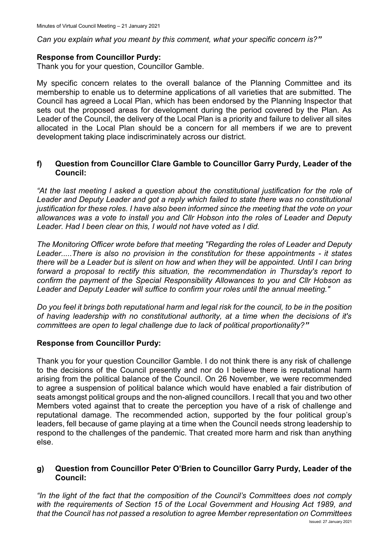*Can you explain what you meant by this comment, what your specific concern is?"*

#### **Response from Councillor Purdy:**

Thank you for your question, Councillor Gamble.

My specific concern relates to the overall balance of the Planning Committee and its membership to enable us to determine applications of all varieties that are submitted. The Council has agreed a Local Plan, which has been endorsed by the Planning Inspector that sets out the proposed areas for development during the period covered by the Plan. As Leader of the Council, the delivery of the Local Plan is a priority and failure to deliver all sites allocated in the Local Plan should be a concern for all members if we are to prevent development taking place indiscriminately across our district.

### **f) Question from Councillor Clare Gamble to Councillor Garry Purdy, Leader of the Council:**

*"At the last meeting I asked a question about the constitutional justification for the role of Leader and Deputy Leader and got a reply which failed to state there was no constitutional justification for these roles. I have also been informed since the meeting that the vote on your allowances was a vote to install you and Cllr Hobson into the roles of Leader and Deputy Leader. Had I been clear on this, I would not have voted as I did.* 

*The Monitoring Officer wrote before that meeting "Regarding the roles of Leader and Deputy Leader.....There is also no provision in the constitution for these appointments - it states there will be a Leader but is silent on how and when they will be appointed. Until I can bring forward a proposal to rectify this situation, the recommendation in Thursday's report to confirm the payment of the Special Responsibility Allowances to you and Cllr Hobson as Leader and Deputy Leader will suffice to confirm your roles until the annual meeting."* 

*Do you feel it brings both reputational harm and legal risk for the council, to be in the position of having leadership with no constitutional authority, at a time when the decisions of it's committees are open to legal challenge due to lack of political proportionality?"*

### **Response from Councillor Purdy:**

Thank you for your question Councillor Gamble. I do not think there is any risk of challenge to the decisions of the Council presently and nor do I believe there is reputational harm arising from the political balance of the Council. On 26 November, we were recommended to agree a suspension of political balance which would have enabled a fair distribution of seats amongst political groups and the non-aligned councillors. I recall that you and two other Members voted against that to create the perception you have of a risk of challenge and reputational damage. The recommended action, supported by the four political group's leaders, fell because of game playing at a time when the Council needs strong leadership to respond to the challenges of the pandemic. That created more harm and risk than anything else.

#### **g) Question from Councillor Peter O'Brien to Councillor Garry Purdy, Leader of the Council:**

*"In the light of the fact that the composition of the Council's Committees does not comply with the requirements of Section 15 of the Local Government and Housing Act 1989, and that the Council has not passed a resolution to agree Member representation on Committees*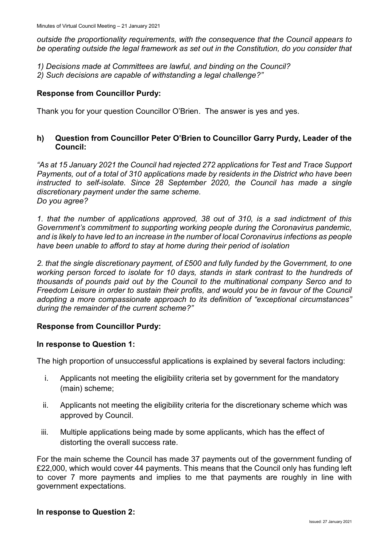*outside the proportionality requirements, with the consequence that the Council appears to be operating outside the legal framework as set out in the Constitution, do you consider that* 

- *1) Decisions made at Committees are lawful, and binding on the Council?*
- *2) Such decisions are capable of withstanding a legal challenge?"*

### **Response from Councillor Purdy:**

Thank you for your question Councillor O'Brien. The answer is yes and yes.

### **h) Question from Councillor Peter O'Brien to Councillor Garry Purdy, Leader of the Council:**

*"As at 15 January 2021 the Council had rejected 272 applications for Test and Trace Support Payments, out of a total of 310 applications made by residents in the District who have been instructed to self-isolate. Since 28 September 2020, the Council has made a single discretionary payment under the same scheme. Do you agree?*

*1. that the number of applications approved, 38 out of 310, is a sad indictment of this Government's commitment to supporting working people during the Coronavirus pandemic, and is likely to have led to an increase in the number of local Coronavirus infections as people have been unable to afford to stay at home during their period of isolation* 

*2. that the single discretionary payment, of £500 and fully funded by the Government, to one working person forced to isolate for 10 days, stands in stark contrast to the hundreds of thousands of pounds paid out by the Council to the multinational company Serco and to Freedom Leisure in order to sustain their profits, and would you be in favour of the Council adopting a more compassionate approach to its definition of "exceptional circumstances" during the remainder of the current scheme?"*

### **Response from Councillor Purdy:**

#### **In response to Question 1:**

The high proportion of unsuccessful applications is explained by several factors including:

- i. Applicants not meeting the eligibility criteria set by government for the mandatory (main) scheme;
- ii. Applicants not meeting the eligibility criteria for the discretionary scheme which was approved by Council.
- iii. Multiple applications being made by some applicants, which has the effect of distorting the overall success rate.

For the main scheme the Council has made 37 payments out of the government funding of £22,000, which would cover 44 payments. This means that the Council only has funding left to cover 7 more payments and implies to me that payments are roughly in line with government expectations.

#### **In response to Question 2:**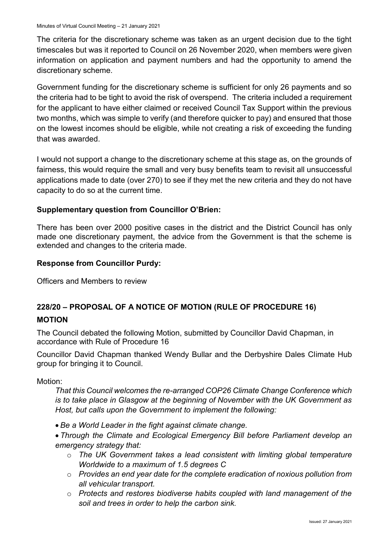The criteria for the discretionary scheme was taken as an urgent decision due to the tight timescales but was it reported to Council on 26 November 2020, when members were given information on application and payment numbers and had the opportunity to amend the discretionary scheme.

Government funding for the discretionary scheme is sufficient for only 26 payments and so the criteria had to be tight to avoid the risk of overspend. The criteria included a requirement for the applicant to have either claimed or received Council Tax Support within the previous two months, which was simple to verify (and therefore quicker to pay) and ensured that those on the lowest incomes should be eligible, while not creating a risk of exceeding the funding that was awarded.

I would not support a change to the discretionary scheme at this stage as, on the grounds of fairness, this would require the small and very busy benefits team to revisit all unsuccessful applications made to date (over 270) to see if they met the new criteria and they do not have capacity to do so at the current time.

### **Supplementary question from Councillor O'Brien:**

There has been over 2000 positive cases in the district and the District Council has only made one discretionary payment, the advice from the Government is that the scheme is extended and changes to the criteria made.

#### **Response from Councillor Purdy:**

Officers and Members to review

# **228/20 – PROPOSAL OF A NOTICE OF MOTION (RULE OF PROCEDURE 16)**

#### **MOTION**

The Council debated the following Motion, submitted by Councillor David Chapman, in accordance with Rule of Procedure 16

Councillor David Chapman thanked Wendy Bullar and the Derbyshire Dales Climate Hub group for bringing it to Council.

Motion:

*That this Council welcomes the re-arranged COP26 Climate Change Conference which is to take place in Glasgow at the beginning of November with the UK Government as Host, but calls upon the Government to implement the following:*

*Be a World Leader in the fight against climate change.*

 *Through the Climate and Ecological Emergency Bill before Parliament develop an emergency strategy that:* 

- o *The UK Government takes a lead consistent with limiting global temperature Worldwide to a maximum of 1.5 degrees C*
- o *Provides an end year date for the complete eradication of noxious pollution from all vehicular transport.*
- o *Protects and restores biodiverse habits coupled with land management of the soil and trees in order to help the carbon sink.*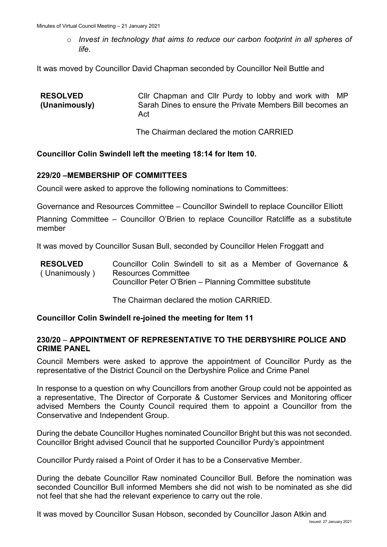o *Invest in technology that aims to reduce our carbon footprint in all spheres of life.*

It was moved by Councillor David Chapman seconded by Councillor Neil Buttle and

| <b>RESOLVED</b><br>(Unanimously) | Cllr Chapman and Cllr Purdy to lobby and work with MP<br>Sarah Dines to ensure the Private Members Bill becomes an<br>Act |
|----------------------------------|---------------------------------------------------------------------------------------------------------------------------|
|                                  | The Chairman declared the motion CARRIED                                                                                  |

#### **Councillor Colin Swindell left the meeting 18:14 for Item 10.**

#### **229/20 –MEMBERSHIP OF COMMITTEES**

Council were asked to approve the following nominations to Committees:

Governance and Resources Committee – Councillor Swindell to replace Councillor Elliott

Planning Committee – Councillor O'Brien to replace Councillor Ratcliffe as a substitute member

It was moved by Councillor Susan Bull, seconded by Councillor Helen Froggatt and

| <b>RESOLVED</b> |                                                          |  |  |  |  |  |  |  |  | Councillor Colin Swindell to sit as a Member of Governance & |  |
|-----------------|----------------------------------------------------------|--|--|--|--|--|--|--|--|--------------------------------------------------------------|--|
| (Unanimously)   | <b>Resources Committee</b>                               |  |  |  |  |  |  |  |  |                                                              |  |
|                 | Councillor Peter O'Brien - Planning Committee substitute |  |  |  |  |  |  |  |  |                                                              |  |

The Chairman declared the motion CARRIED.

#### **Councillor Colin Swindell re-joined the meeting for Item 11**

#### **230/20** – **APPOINTMENT OF REPRESENTATIVE TO THE DERBYSHIRE POLICE AND CRIME PANEL**

Council Members were asked to approve the appointment of Councillor Purdy as the representative of the District Council on the Derbyshire Police and Crime Panel

In response to a question on why Councillors from another Group could not be appointed as a representative, The Director of Corporate & Customer Services and Monitoring officer advised Members the County Council required them to appoint a Councillor from the Conservative and Independent Group.

During the debate Councillor Hughes nominated Councillor Bright but this was not seconded. Councillor Bright advised Council that he supported Councillor Purdy's appointment

Councillor Purdy raised a Point of Order it has to be a Conservative Member.

During the debate Councillor Raw nominated Councillor Bull. Before the nomination was seconded Councillor Bull informed Members she did not wish to be nominated as she did not feel that she had the relevant experience to carry out the role.

It was moved by Councillor Susan Hobson, seconded by Councillor Jason Atkin and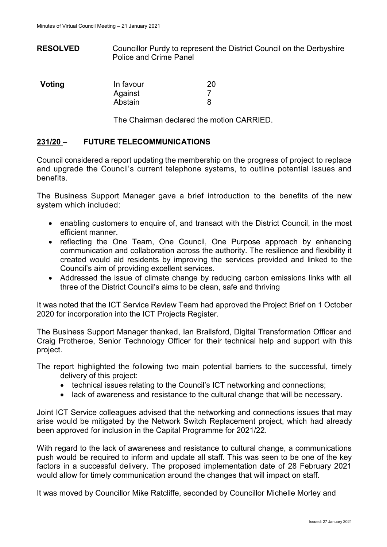**RESOLVED** Councillor Purdy to represent the District Council on the Derbyshire Police and Crime Panel

| Voting | In favour | 20 |
|--------|-----------|----|
|        | Against   |    |
|        | Abstain   |    |

The Chairman declared the motion CARRIED.

### **231/20 – FUTURE TELECOMMUNICATIONS**

Council considered a report updating the membership on the progress of project to replace and upgrade the Council's current telephone systems, to outline potential issues and benefits.

The Business Support Manager gave a brief introduction to the benefits of the new system which included:

- enabling customers to enquire of, and transact with the District Council, in the most efficient manner.
- reflecting the One Team, One Council, One Purpose approach by enhancing communication and collaboration across the authority. The resilience and flexibility it created would aid residents by improving the services provided and linked to the Council's aim of providing excellent services.
- Addressed the issue of climate change by reducing carbon emissions links with all three of the District Council's aims to be clean, safe and thriving

It was noted that the ICT Service Review Team had approved the Project Brief on 1 October 2020 for incorporation into the ICT Projects Register.

The Business Support Manager thanked, Ian Brailsford, Digital Transformation Officer and Craig Protheroe, Senior Technology Officer for their technical help and support with this project.

The report highlighted the following two main potential barriers to the successful, timely delivery of this project:

- technical issues relating to the Council's ICT networking and connections;
- lack of awareness and resistance to the cultural change that will be necessary.

Joint ICT Service colleagues advised that the networking and connections issues that may arise would be mitigated by the Network Switch Replacement project, which had already been approved for inclusion in the Capital Programme for 2021/22.

With regard to the lack of awareness and resistance to cultural change, a communications push would be required to inform and update all staff. This was seen to be one of the key factors in a successful delivery. The proposed implementation date of 28 February 2021 would allow for timely communication around the changes that will impact on staff.

It was moved by Councillor Mike Ratcliffe, seconded by Councillor Michelle Morley and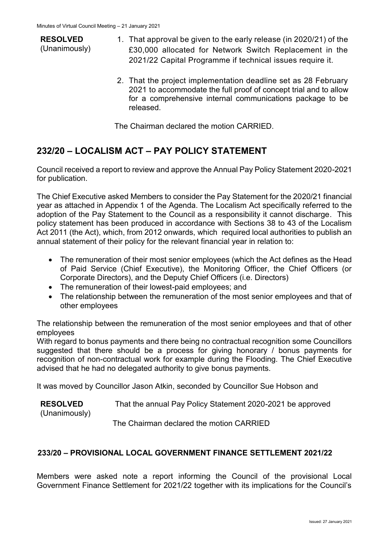**RESOLVED** (Unanimously)

- 1. That approval be given to the early release (in 2020/21) of the £30,000 allocated for Network Switch Replacement in the 2021/22 Capital Programme if technical issues require it.
- 2. That the project implementation deadline set as 28 February 2021 to accommodate the full proof of concept trial and to allow for a comprehensive internal communications package to be released.

The Chairman declared the motion CARRIED.

# **232/20 – LOCALISM ACT – PAY POLICY STATEMENT**

Council received a report to review and approve the Annual Pay Policy Statement 2020-2021 for publication.

The Chief Executive asked Members to consider the Pay Statement for the 2020/21 financial year as attached in Appendix 1 of the Agenda. The Localism Act specifically referred to the adoption of the Pay Statement to the Council as a responsibility it cannot discharge. This policy statement has been produced in accordance with Sections 38 to 43 of the Localism Act 2011 (the Act), which, from 2012 onwards, which required local authorities to publish an annual statement of their policy for the relevant financial year in relation to:

- The remuneration of their most senior employees (which the Act defines as the Head of Paid Service (Chief Executive), the Monitoring Officer, the Chief Officers (or Corporate Directors), and the Deputy Chief Officers (i.e. Directors)
- The remuneration of their lowest-paid employees; and
- The relationship between the remuneration of the most senior employees and that of other employees

The relationship between the remuneration of the most senior employees and that of other employees

With regard to bonus payments and there being no contractual recognition some Councillors suggested that there should be a process for giving honorary / bonus payments for recognition of non-contractual work for example during the Flooding. The Chief Executive advised that he had no delegated authority to give bonus payments.

It was moved by Councillor Jason Atkin, seconded by Councillor Sue Hobson and

**RESOLVED** (Unanimously) That the annual Pay Policy Statement 2020-2021 be approved

The Chairman declared the motion CARRIED

# **233/20 – PROVISIONAL LOCAL GOVERNMENT FINANCE SETTLEMENT 2021/22**

Members were asked note a report informing the Council of the provisional Local Government Finance Settlement for 2021/22 together with its implications for the Council's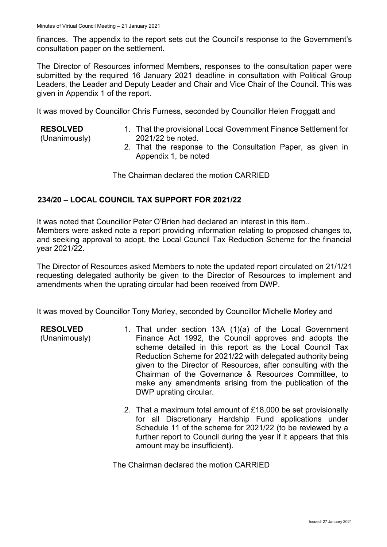finances. The appendix to the report sets out the Council's response to the Government's consultation paper on the settlement.

The Director of Resources informed Members, responses to the consultation paper were submitted by the required 16 January 2021 deadline in consultation with Political Group Leaders, the Leader and Deputy Leader and Chair and Vice Chair of the Council. This was given in Appendix 1 of the report.

It was moved by Councillor Chris Furness, seconded by Councillor Helen Froggatt and

#### **RESOLVED**

**RESOLVED** (Unanimously)

(Unanimously)

- 1. That the provisional Local Government Finance Settlement for 2021/22 be noted.
- 2. That the response to the Consultation Paper, as given in Appendix 1, be noted

The Chairman declared the motion CARRIED

### **234/20 – LOCAL COUNCIL TAX SUPPORT FOR 2021/22**

It was noted that Councillor Peter O'Brien had declared an interest in this item.. Members were asked note a report providing information relating to proposed changes to, and seeking approval to adopt, the Local Council Tax Reduction Scheme for the financial year 2021/22.

The Director of Resources asked Members to note the updated report circulated on 21/1/21 requesting delegated authority be given to the Director of Resources to implement and amendments when the uprating circular had been received from DWP.

It was moved by Councillor Tony Morley, seconded by Councillor Michelle Morley and

- 1. That under section 13A (1)(a) of the Local Government Finance Act 1992, the Council approves and adopts the scheme detailed in this report as the Local Council Tax Reduction Scheme for 2021/22 with delegated authority being given to the Director of Resources, after consulting with the Chairman of the Governance & Resources Committee, to make any amendments arising from the publication of the DWP uprating circular.
	- 2. That a maximum total amount of £18,000 be set provisionally for all Discretionary Hardship Fund applications under Schedule 11 of the scheme for 2021/22 (to be reviewed by a further report to Council during the year if it appears that this amount may be insufficient).

The Chairman declared the motion CARRIED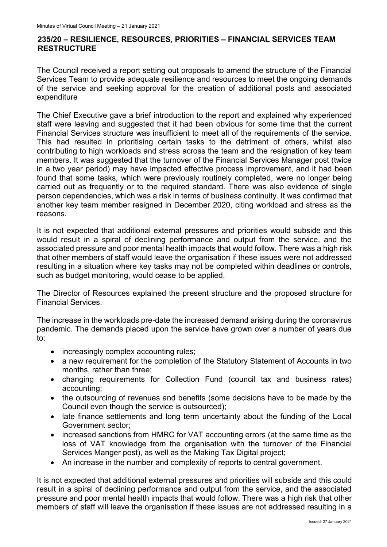# **235/20 – RESILIENCE, RESOURCES, PRIORITIES – FINANCIAL SERVICES TEAM RESTRUCTURE**

The Council received a report setting out proposals to amend the structure of the Financial Services Team to provide adequate resilience and resources to meet the ongoing demands of the service and seeking approval for the creation of additional posts and associated expenditure

The Chief Executive gave a brief introduction to the report and explained why experienced staff were leaving and suggested that it had been obvious for some time that the current Financial Services structure was insufficient to meet all of the requirements of the service. This had resulted in prioritising certain tasks to the detriment of others, whilst also contributing to high workloads and stress across the team and the resignation of key team members. It was suggested that the turnover of the Financial Services Manager post (twice in a two year period) may have impacted effective process improvement, and it had been found that some tasks, which were previously routinely completed, were no longer being carried out as frequently or to the required standard. There was also evidence of single person dependencies, which was a risk in terms of business continuity. It was confirmed that another key team member resigned in December 2020, citing workload and stress as the reasons.

It is not expected that additional external pressures and priorities would subside and this would result in a spiral of declining performance and output from the service, and the associated pressure and poor mental health impacts that would follow. There was a high risk that other members of staff would leave the organisation if these issues were not addressed resulting in a situation where key tasks may not be completed within deadlines or controls, such as budget monitoring, would cease to be applied.

The Director of Resources explained the present structure and the proposed structure for Financial Services.

The increase in the workloads pre-date the increased demand arising during the coronavirus pandemic. The demands placed upon the service have grown over a number of years due to:

- increasingly complex accounting rules;
- a new requirement for the completion of the Statutory Statement of Accounts in two months, rather than three;
- changing requirements for Collection Fund (council tax and business rates) accounting;
- the outsourcing of revenues and benefits (some decisions have to be made by the Council even though the service is outsourced);
- late finance settlements and long term uncertainty about the funding of the Local Government sector;
- increased sanctions from HMRC for VAT accounting errors (at the same time as the loss of VAT knowledge from the organisation with the turnover of the Financial Services Manger post), as well as the Making Tax Digital project;
- An increase in the number and complexity of reports to central government.

It is not expected that additional external pressures and priorities will subside and this could result in a spiral of declining performance and output from the service, and the associated pressure and poor mental health impacts that would follow. There was a high risk that other members of staff will leave the organisation if these issues are not addressed resulting in a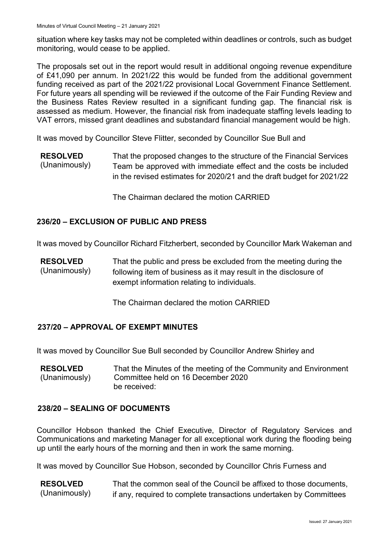situation where key tasks may not be completed within deadlines or controls, such as budget monitoring, would cease to be applied.

The proposals set out in the report would result in additional ongoing revenue expenditure of £41,090 per annum. In 2021/22 this would be funded from the additional government funding received as part of the 2021/22 provisional Local Government Finance Settlement. For future years all spending will be reviewed if the outcome of the Fair Funding Review and the Business Rates Review resulted in a significant funding gap. The financial risk is assessed as medium. However, the financial risk from inadequate staffing levels leading to VAT errors, missed grant deadlines and substandard financial management would be high.

It was moved by Councillor Steve Flitter, seconded by Councillor Sue Bull and

**RESOLVED** (Unanimously) That the proposed changes to the structure of the Financial Services Team be approved with immediate effect and the costs be included in the revised estimates for 2020/21 and the draft budget for 2021/22

The Chairman declared the motion CARRIED

### **236/20 – EXCLUSION OF PUBLIC AND PRESS**

It was moved by Councillor Richard Fitzherbert, seconded by Councillor Mark Wakeman and

**RESOLVED** (Unanimously) That the public and press be excluded from the meeting during the following item of business as it may result in the disclosure of exempt information relating to individuals.

The Chairman declared the motion CARRIED

### **237/20 – APPROVAL OF EXEMPT MINUTES**

It was moved by Councillor Sue Bull seconded by Councillor Andrew Shirley and

**RESOLVED** (Unanimously) That the Minutes of the meeting of the Community and Environment Committee held on 16 December 2020 be received:

#### **238/20 – SEALING OF DOCUMENTS**

Councillor Hobson thanked the Chief Executive, Director of Regulatory Services and Communications and marketing Manager for all exceptional work during the flooding being up until the early hours of the morning and then in work the same morning.

It was moved by Councillor Sue Hobson, seconded by Councillor Chris Furness and

**RESOLVED** (Unanimously) That the common seal of the Council be affixed to those documents, if any, required to complete transactions undertaken by Committees